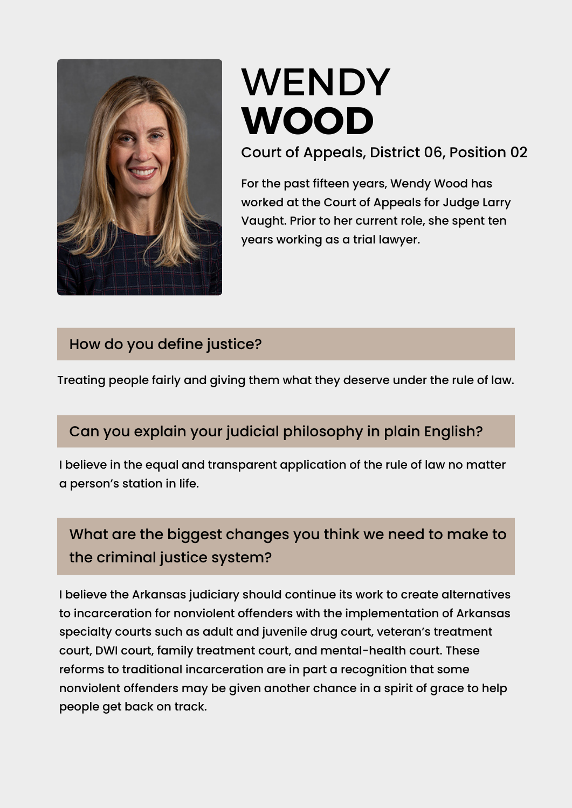

# [WENDY](https://www.ark.org/arelections/index.php?ac:show:cand_search=1&candid=3391) **[WOOD](https://www.ark.org/arelections/index.php?ac:show:cand_search=1&candid=3405)**

Court of Appeals, District 06, Position 02

For the past fifteen years, Wendy Wood has worked at the Court of Appeals for Judge Larry Vaught. Prior to her current role, she spent ten years working as a trial lawyer.

## How do you define justice?

Treating people fairly and giving them what they deserve under the rule of law.

## Can you explain your judicial philosophy in plain English?

I believe in the equal and transparent application of the rule of law no matter a person's station in life.

# What are the biggest changes you think we need to make to the criminal justice system?

I believe the Arkansas judiciary should continue its work to create alternatives to incarceration for nonviolent offenders with the implementation of Arkansas specialty courts such as adult and juvenile drug court, veteran's treatment court, DWI court, family treatment court, and mental-health court. These reforms to traditional incarceration are in part a recognition that some nonviolent offenders may be given another chance in a spirit of grace to help people get back on track.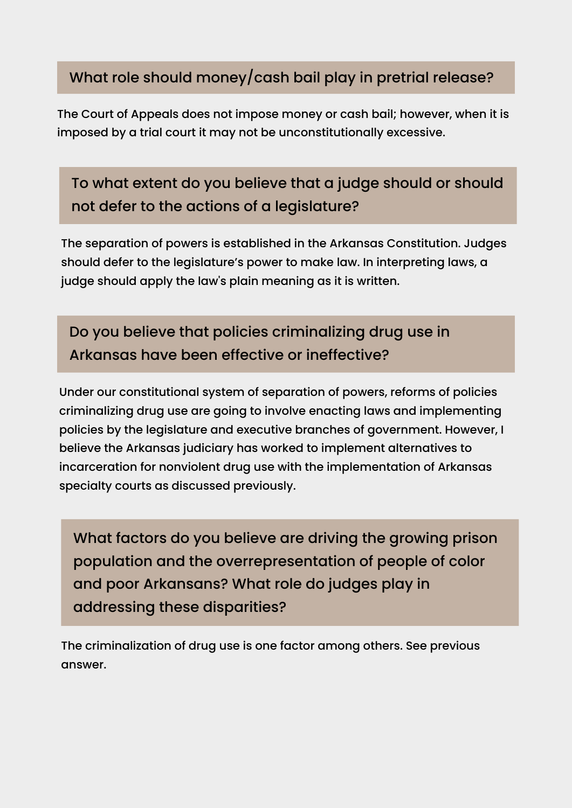#### What role should money/cash bail play in pretrial release?

The Court of Appeals does not impose money or cash bail; however, when it is imposed by a trial court it may not be unconstitutionally excessive.

## To what extent do you believe that a judge should or should not defer to the actions of a legislature?

The separation of powers is established in the Arkansas Constitution. Judges should defer to the legislature's power to make law. In interpreting laws, a judge should apply the law's plain meaning as it is written.

# Do you believe that policies criminalizing drug use in Arkansas have been effective or ineffective?

Under our constitutional system of separation of powers, reforms of policies criminalizing drug use are going to involve enacting laws and implementing policies by the legislature and executive branches of government. However, I believe the Arkansas judiciary has worked to implement alternatives to incarceration for nonviolent drug use with the implementation of Arkansas specialty courts as discussed previously.

What factors do you believe are driving the growing prison population and the overrepresentation of people of color and poor Arkansans? What role do judges play in addressing these disparities?

The criminalization of drug use is one factor among others. See previous answer.